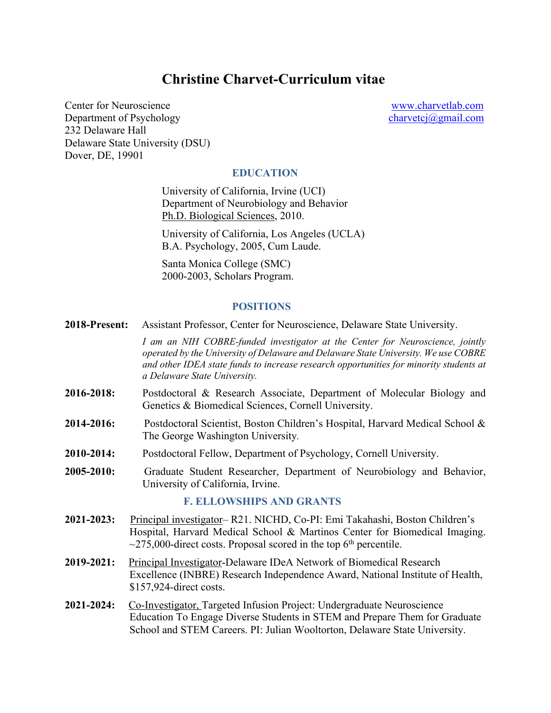# **Christine Charvet-Curriculum vitae**

Center for Neuroscience www.charvetlab.com Department of Psychology charvetcj@gmail.com 232 Delaware Hall Delaware State University (DSU) Dover, DE, 19901

#### **EDUCATION**

University of California, Irvine (UCI) Department of Neurobiology and Behavior Ph.D. Biological Sciences, 2010.

University of California, Los Angeles (UCLA) B.A. Psychology, 2005, Cum Laude.

Santa Monica College (SMC) 2000-2003, Scholars Program.

#### **POSITIONS**

**2018-Present:** Assistant Professor, Center for Neuroscience, Delaware State University.

*I am an NIH COBRE-funded investigator at the Center for Neuroscience, jointly operated by the University of Delaware and Delaware State University. We use COBRE and other IDEA state funds to increase research opportunities for minority students at a Delaware State University.*

- **2016-2018:** Postdoctoral & Research Associate, Department of Molecular Biology and Genetics & Biomedical Sciences, Cornell University.
- **2014-2016:** Postdoctoral Scientist, Boston Children's Hospital, Harvard Medical School & The George Washington University*.*
- **2010-2014:** Postdoctoral Fellow, Department of Psychology, Cornell University.
- **2005-2010:** Graduate Student Researcher, Department of Neurobiology and Behavior, University of California, Irvine.

#### **F. ELLOWSHIPS AND GRANTS**

- **2021-2023:** Principal investigator– R21. NICHD, Co-PI: Emi Takahashi, Boston Children's Hospital, Harvard Medical School & Martinos Center for Biomedical Imaging.  $\sim$ 275,000-direct costs. Proposal scored in the top 6<sup>th</sup> percentile.
- **2019-2021:** Principal Investigator-Delaware IDeA Network of Biomedical Research Excellence (INBRE) Research Independence Award, National Institute of Health, \$157,924-direct costs.
- **2021-2024:** Co-Investigator, Targeted Infusion Project: Undergraduate Neuroscience Education To Engage Diverse Students in STEM and Prepare Them for Graduate School and STEM Careers. PI: Julian Wooltorton, Delaware State University.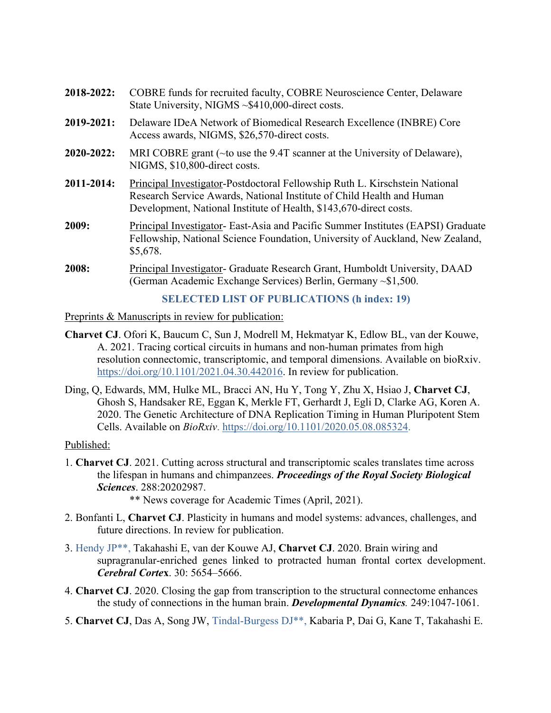| 2018-2022:      | COBRE funds for recruited faculty, COBRE Neuroscience Center, Delaware<br>State University, NIGMS ~\$410,000-direct costs.                                                                                                        |
|-----------------|-----------------------------------------------------------------------------------------------------------------------------------------------------------------------------------------------------------------------------------|
| 2019-2021:      | Delaware IDeA Network of Biomedical Research Excellence (INBRE) Core<br>Access awards, NIGMS, \$26,570-direct costs.                                                                                                              |
| $2020 - 2022$ : | MRI COBRE grant ( $\sim$ to use the 9.4T scanner at the University of Delaware),<br>NIGMS, \$10,800-direct costs.                                                                                                                 |
| 2011-2014:      | <b>Principal Investigator-Postdoctoral Fellowship Ruth L. Kirschstein National</b><br>Research Service Awards, National Institute of Child Health and Human<br>Development, National Institute of Health, \$143,670-direct costs. |
| 2009:           | Principal Investigator- East-Asia and Pacific Summer Institutes (EAPSI) Graduate<br>Fellowship, National Science Foundation, University of Auckland, New Zealand,<br>\$5,678.                                                     |
| 2008:           | Principal Investigator- Graduate Research Grant, Humboldt University, DAAD<br>(German Academic Exchange Services) Berlin, Germany ~\$1,500.                                                                                       |

### **SELECTED LIST OF PUBLICATIONS (h index: 19)**

Preprints & Manuscripts in review for publication:

- **Charvet CJ**. Ofori K, Baucum C, Sun J, Modrell M, Hekmatyar K, Edlow BL, van der Kouwe, A. 2021. Tracing cortical circuits in humans and non-human primates from high resolution connectomic, transcriptomic, and temporal dimensions. Available on bioRxiv. https://doi.org/10.1101/2021.04.30.442016. In review for publication.
- Ding, Q, Edwards, MM, Hulke ML, Bracci AN, Hu Y, Tong Y, Zhu X, Hsiao J, **Charvet CJ**, Ghosh S, Handsaker RE, Eggan K, Merkle FT, Gerhardt J, Egli D, Clarke AG, Koren A. 2020. The Genetic Architecture of DNA Replication Timing in Human Pluripotent Stem Cells. Available on *BioRxiv*. https://doi.org/10.1101/2020.05.08.085324.

Published:

1. **Charvet CJ**. 2021. Cutting across structural and transcriptomic scales translates time across the lifespan in humans and chimpanzees. *Proceedings of the Royal Society Biological Sciences*. 288:20202987.

\*\* News coverage for Academic Times (April, 2021).

- 2. Bonfanti L, **Charvet CJ**. Plasticity in humans and model systems: advances, challenges, and future directions. In review for publication.
- 3. Hendy JP\*\*, Takahashi E, van der Kouwe AJ, **Charvet CJ**. 2020. Brain wiring and supragranular-enriched genes linked to protracted human frontal cortex development. *Cerebral Corte***x**. 30: 5654–5666.
- 4. **Charvet CJ**. 2020. Closing the gap from transcription to the structural connectome enhances the study of connections in the human brain. *Developmental Dynamics.* 249:1047-1061.
- 5. **Charvet CJ**, Das A, Song JW, Tindal-Burgess DJ\*\*, Kabaria P, Dai G, Kane T, Takahashi E.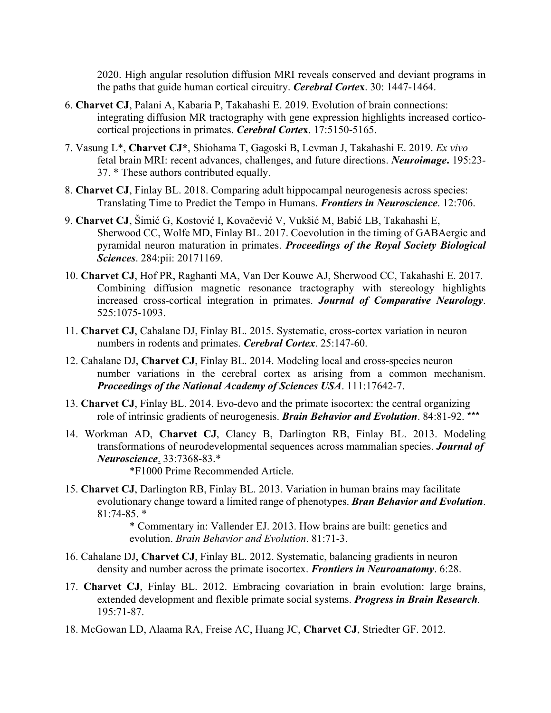2020. High angular resolution diffusion MRI reveals conserved and deviant programs in the paths that guide human cortical circuitry. *Cerebral Corte***x**. 30: 1447-1464.

- 6. **Charvet CJ**, Palani A, Kabaria P, Takahashi E. 2019. Evolution of brain connections: integrating diffusion MR tractography with gene expression highlights increased corticocortical projections in primates. *Cerebral Corte***x**. 17:5150-5165.
- 7. Vasung L\*, **Charvet CJ\***, Shiohama T, Gagoski B, Levman J, Takahashi E. 2019. *Ex vivo* fetal brain MRI: recent advances, challenges, and future directions. *Neuroimage***.** 195:23- 37. \* These authors contributed equally.
- 8. **Charvet CJ**, Finlay BL. 2018. Comparing adult hippocampal neurogenesis across species: Translating Time to Predict the Tempo in Humans. *Frontiers in Neuroscience*. 12:706.
- 9. **Charvet CJ**, Šimić G, Kostović I, Kovačević V, Vukšić M, Babić LB, Takahashi E, Sherwood CC, Wolfe MD, Finlay BL. 2017. Coevolution in the timing of GABAergic and pyramidal neuron maturation in primates. *Proceedings of the Royal Society Biological Sciences*. 284:pii: 20171169.
- 10. **Charvet CJ**, Hof PR, Raghanti MA, Van Der Kouwe AJ, Sherwood CC, Takahashi E. 2017. Combining diffusion magnetic resonance tractography with stereology highlights increased cross-cortical integration in primates. *Journal of Comparative Neurology*. 525:1075-1093.
- 11. **Charvet CJ**, Cahalane DJ, Finlay BL. 2015. Systematic, cross-cortex variation in neuron numbers in rodents and primates. *Cerebral Cortex*. 25:147-60.
- 12. Cahalane DJ, **Charvet CJ**, Finlay BL. 2014. Modeling local and cross-species neuron number variations in the cerebral cortex as arising from a common mechanism. *Proceedings of the National Academy of Sciences USA*. 111:17642-7.
- 13. **Charvet CJ**, Finlay BL. 2014. Evo-devo and the primate isocortex: the central organizing role of intrinsic gradients of neurogenesis. *Brain Behavior and Evolution*. 84:81-92. \*\*\*
- 14. Workman AD, **Charvet CJ**, Clancy B, Darlington RB, Finlay BL. 2013. Modeling transformations of neurodevelopmental sequences across mammalian species. *Journal of Neuroscience*. 33:7368-83.\*
	- \*F1000 Prime Recommended Article.
- 15. **Charvet CJ**, Darlington RB, Finlay BL. 2013. Variation in human brains may facilitate evolutionary change toward a limited range of phenotypes. *Bran Behavior and Evolution*. 81:74-85. \*

\* Commentary in: Vallender EJ. 2013. How brains are built: genetics and evolution. *Brain Behavior and Evolution*. 81:71-3.

- 16. Cahalane DJ, **Charvet CJ**, Finlay BL. 2012. Systematic, balancing gradients in neuron density and number across the primate isocortex. *Frontiers in Neuroanatomy*. 6:28.
- 17. **Charvet CJ**, Finlay BL. 2012. Embracing covariation in brain evolution: large brains, extended development and flexible primate social systems. *Progress in Brain Research.*  195:71-87.
- 18. McGowan LD, Alaama RA, Freise AC, Huang JC, **Charvet CJ**, Striedter GF. 2012.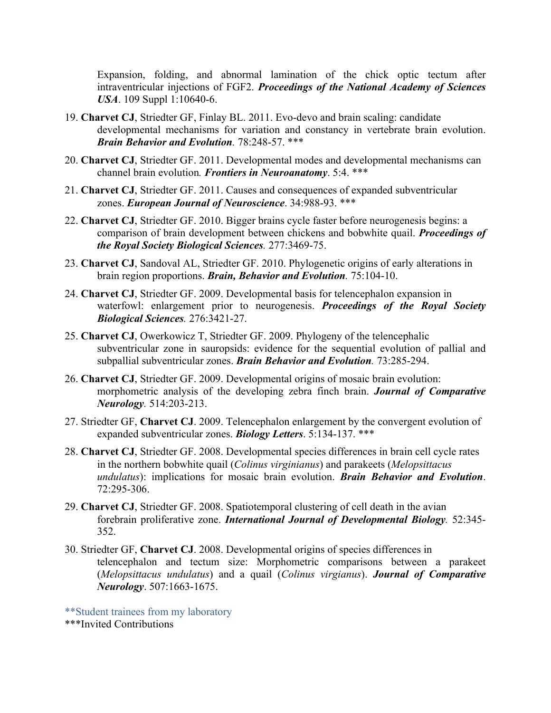Expansion, folding, and abnormal lamination of the chick optic tectum after intraventricular injections of FGF2. *Proceedings of the National Academy of Sciences USA*. 109 Suppl 1:10640-6.

- 19. **Charvet CJ**, Striedter GF, Finlay BL. 2011. Evo-devo and brain scaling: candidate developmental mechanisms for variation and constancy in vertebrate brain evolution. *Brain Behavior and Evolution.* 78:248-57. \*\*\*
- 20. **Charvet CJ**, Striedter GF. 2011. Developmental modes and developmental mechanisms can channel brain evolution*. Frontiers in Neuroanatomy*. 5:4. \*\*\*
- 21. **Charvet CJ**, Striedter GF. 2011. Causes and consequences of expanded subventricular zones. *European Journal of Neuroscience*. 34:988-93. \*\*\*
- 22. **Charvet CJ**, Striedter GF. 2010. Bigger brains cycle faster before neurogenesis begins: a comparison of brain development between chickens and bobwhite quail. *Proceedings of the Royal Society Biological Sciences.* 277:3469-75.
- 23. **Charvet CJ**, Sandoval AL, Striedter GF. 2010. Phylogenetic origins of early alterations in brain region proportions. *Brain, Behavior and Evolution.* 75:104-10.
- 24. **Charvet CJ**, Striedter GF. 2009. Developmental basis for telencephalon expansion in waterfowl: enlargement prior to neurogenesis. *Proceedings of the Royal Society Biological Sciences.* 276:3421-27.
- 25. **Charvet CJ**, Owerkowicz T, Striedter GF. 2009. Phylogeny of the telencephalic subventricular zone in sauropsids: evidence for the sequential evolution of pallial and subpallial subventricular zones. *Brain Behavior and Evolution.* 73:285-294.
- 26. **Charvet CJ**, Striedter GF. 2009. Developmental origins of mosaic brain evolution: morphometric analysis of the developing zebra finch brain. *Journal of Comparative Neurology.* 514:203-213.
- 27. Striedter GF, **Charvet CJ**. 2009. Telencephalon enlargement by the convergent evolution of expanded subventricular zones. *Biology Letters*. 5:134-137. \*\*\*
- 28. **Charvet CJ**, Striedter GF. 2008. Developmental species differences in brain cell cycle rates in the northern bobwhite quail (*Colinus virginianus*) and parakeets (*Melopsittacus undulatus*): implications for mosaic brain evolution. *Brain Behavior and Evolution*. 72:295-306.
- 29. **Charvet CJ**, Striedter GF. 2008. Spatiotemporal clustering of cell death in the avian forebrain proliferative zone. *International Journal of Developmental Biology.* 52:345- 352.
- 30. Striedter GF, **Charvet CJ**. 2008. Developmental origins of species differences in telencephalon and tectum size: Morphometric comparisons between a parakeet (*Melopsittacus undulatus*) and a quail (*Colinus virgianus*). *Journal of Comparative Neurology*. 507:1663-1675.
- \*\*Student trainees from my laboratory
- \*\*\*Invited Contributions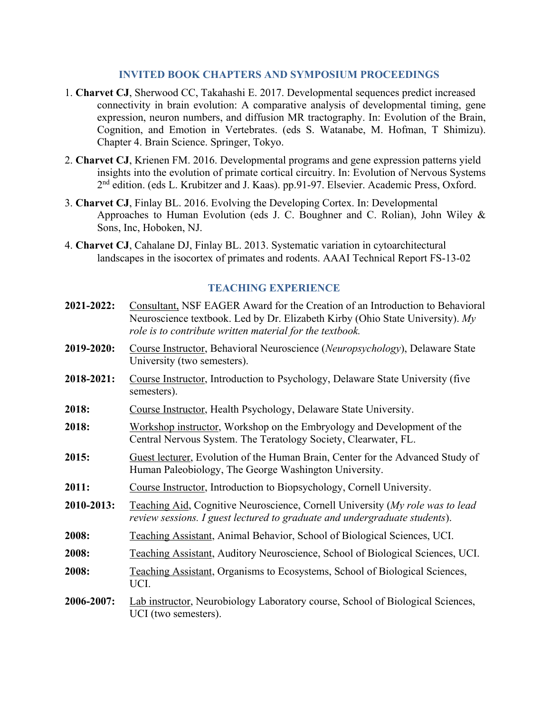#### **INVITED BOOK CHAPTERS AND SYMPOSIUM PROCEEDINGS**

- 1. **Charvet CJ**, Sherwood CC, Takahashi E. 2017. Developmental sequences predict increased connectivity in brain evolution: A comparative analysis of developmental timing, gene expression, neuron numbers, and diffusion MR tractography. In: Evolution of the Brain, Cognition, and Emotion in Vertebrates. (eds S. Watanabe, M. Hofman, T Shimizu). Chapter 4. Brain Science. Springer, Tokyo.
- 2. **Charvet CJ**, Krienen FM. 2016. Developmental programs and gene expression patterns yield insights into the evolution of primate cortical circuitry. In: Evolution of Nervous Systems 2nd edition. (eds L. Krubitzer and J. Kaas). pp.91-97. Elsevier. Academic Press, Oxford.
- 3. **Charvet CJ**, Finlay BL. 2016. Evolving the Developing Cortex. In: Developmental Approaches to Human Evolution (eds J. C. Boughner and C. Rolian), John Wiley & Sons, Inc, Hoboken, NJ.
- 4. **Charvet CJ**, Cahalane DJ, Finlay BL. 2013. Systematic variation in cytoarchitectural landscapes in the isocortex of primates and rodents. AAAI Technical Report FS-13-02

#### **TEACHING EXPERIENCE**

| 2021-2022: | Consultant, NSF EAGER Award for the Creation of an Introduction to Behavioral<br>Neuroscience textbook. Led by Dr. Elizabeth Kirby (Ohio State University). My<br>role is to contribute written material for the textbook. |
|------------|----------------------------------------------------------------------------------------------------------------------------------------------------------------------------------------------------------------------------|
| 2019-2020: | Course Instructor, Behavioral Neuroscience (Neuropsychology), Delaware State<br>University (two semesters).                                                                                                                |
| 2018-2021: | Course Instructor, Introduction to Psychology, Delaware State University (five<br>semesters).                                                                                                                              |
| 2018:      | Course Instructor, Health Psychology, Delaware State University.                                                                                                                                                           |
| 2018:      | Workshop instructor, Workshop on the Embryology and Development of the<br>Central Nervous System. The Teratology Society, Clearwater, FL.                                                                                  |
| 2015:      | Guest lecturer, Evolution of the Human Brain, Center for the Advanced Study of<br>Human Paleobiology, The George Washington University.                                                                                    |
| 2011:      | Course Instructor, Introduction to Biopsychology, Cornell University.                                                                                                                                                      |
| 2010-2013: | Teaching Aid, Cognitive Neuroscience, Cornell University (My role was to lead<br>review sessions. I guest lectured to graduate and undergraduate students).                                                                |
| 2008:      | Teaching Assistant, Animal Behavior, School of Biological Sciences, UCI.                                                                                                                                                   |
| 2008:      | Teaching Assistant, Auditory Neuroscience, School of Biological Sciences, UCI.                                                                                                                                             |
| 2008:      | Teaching Assistant, Organisms to Ecosystems, School of Biological Sciences,<br>UCI.                                                                                                                                        |
| 2006-2007: | Lab instructor, Neurobiology Laboratory course, School of Biological Sciences,<br>UCI (two semesters).                                                                                                                     |
|            |                                                                                                                                                                                                                            |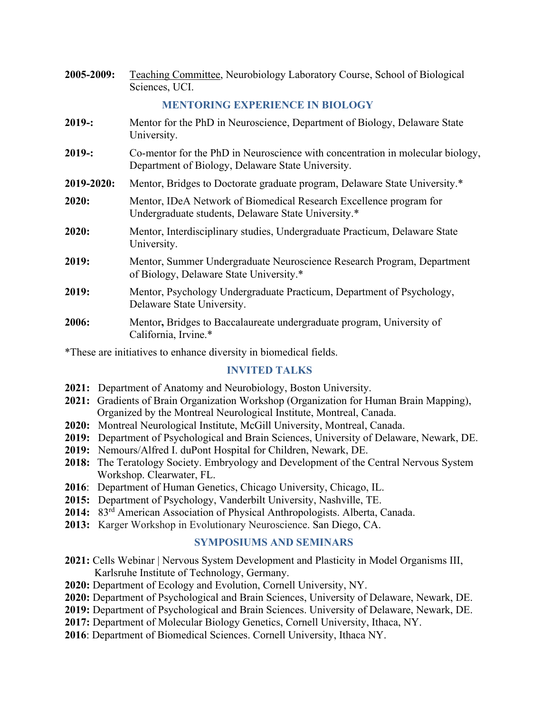| 2005-2009: | Teaching Committee, Neurobiology Laboratory Course, School of Biological<br>Sciences, UCI.                                          |
|------------|-------------------------------------------------------------------------------------------------------------------------------------|
|            | <b>MENTORING EXPERIENCE IN BIOLOGY</b>                                                                                              |
| 2019:      | Mentor for the PhD in Neuroscience, Department of Biology, Delaware State<br>University.                                            |
| 2019:      | Co-mentor for the PhD in Neuroscience with concentration in molecular biology,<br>Department of Biology, Delaware State University. |
| 2019-2020: | Mentor, Bridges to Doctorate graduate program, Delaware State University.*                                                          |
| 2020:      | Mentor, IDeA Network of Biomedical Research Excellence program for<br>Undergraduate students, Delaware State University.*           |
| 2020:      | Mentor, Interdisciplinary studies, Undergraduate Practicum, Delaware State<br>University.                                           |
| 2019:      | Mentor, Summer Undergraduate Neuroscience Research Program, Department<br>of Biology, Delaware State University.*                   |
| 2019:      | Mentor, Psychology Undergraduate Practicum, Department of Psychology,<br>Delaware State University.                                 |
| 2006:      | Mentor, Bridges to Baccalaureate undergraduate program, University of<br>California, Irvine.*                                       |

\*These are initiatives to enhance diversity in biomedical fields.

#### **INVITED TALKS**

- **2021:** Department of Anatomy and Neurobiology, Boston University.
- **2021:** Gradients of Brain Organization Workshop (Organization for Human Brain Mapping), Organized by the Montreal Neurological Institute, Montreal, Canada.
- **2020:** Montreal Neurological Institute, McGill University, Montreal, Canada.
- **2019:** Department of Psychological and Brain Sciences, University of Delaware, Newark, DE.
- **2019:** Nemours/Alfred I. duPont Hospital for Children, Newark, DE.
- **2018:** The Teratology Society. Embryology and Development of the Central Nervous System Workshop. Clearwater, FL.
- **2016**: Department of Human Genetics, Chicago University, Chicago, IL.
- **2015:** Department of Psychology, Vanderbilt University, Nashville, TE.
- **2014:** 83rd American Association of Physical Anthropologists. Alberta, Canada.
- **2013:** Karger Workshop in Evolutionary Neuroscience. San Diego, CA.

## **SYMPOSIUMS AND SEMINARS**

- **2021:** Cells Webinar | Nervous System Development and Plasticity in Model Organisms III, Karlsruhe Institute of Technology, Germany.
- **2020:** Department of Ecology and Evolution, Cornell University, NY.
- **2020:** Department of Psychological and Brain Sciences, University of Delaware, Newark, DE.
- **2019:** Department of Psychological and Brain Sciences. University of Delaware, Newark, DE.
- **2017:** Department of Molecular Biology Genetics, Cornell University, Ithaca, NY.
- **2016**: Department of Biomedical Sciences. Cornell University, Ithaca NY.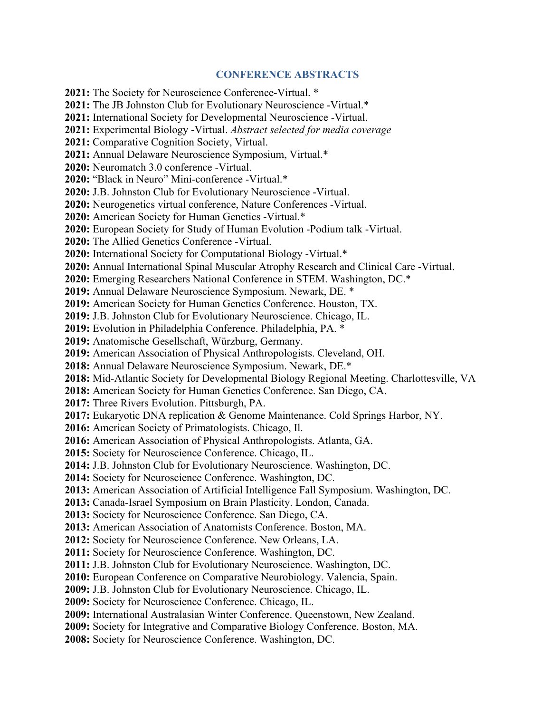#### **CONFERENCE ABSTRACTS**

**2021:** The Society for Neuroscience Conference-Virtual. \* **2021:** The JB Johnston Club for Evolutionary Neuroscience -Virtual.\* **2021:** International Society for Developmental Neuroscience -Virtual. **2021:** Experimental Biology -Virtual. *Abstract selected for media coverage* **2021:** Comparative Cognition Society, Virtual. **2021:** Annual Delaware Neuroscience Symposium, Virtual.\* **2020:** Neuromatch 3.0 conference -Virtual. **2020:** "Black in Neuro" Mini-conference -Virtual.\* **2020:** J.B. Johnston Club for Evolutionary Neuroscience -Virtual. **2020:** Neurogenetics virtual conference, Nature Conferences -Virtual. **2020:** American Society for Human Genetics -Virtual.\* **2020:** European Society for Study of Human Evolution -Podium talk -Virtual. **2020:** The Allied Genetics Conference -Virtual. **2020:** International Society for Computational Biology -Virtual.\* **2020:** Annual International Spinal Muscular Atrophy Research and Clinical Care -Virtual. **2020:** Emerging Researchers National Conference in STEM. Washington, DC.\* **2019:** Annual Delaware Neuroscience Symposium. Newark, DE. \* **2019:** American Society for Human Genetics Conference. Houston, TX. **2019:** J.B. Johnston Club for Evolutionary Neuroscience. Chicago, IL. **2019:** Evolution in Philadelphia Conference. Philadelphia, PA. \* **2019:** Anatomische Gesellschaft, Würzburg, Germany. **2019:** American Association of Physical Anthropologists. Cleveland, OH. **2018:** Annual Delaware Neuroscience Symposium. Newark, DE.\* **2018:** Mid-Atlantic Society for Developmental Biology Regional Meeting. Charlottesville, VA **2018:** American Society for Human Genetics Conference. San Diego, CA. **2017:** Three Rivers Evolution. Pittsburgh, PA. **2017:** Eukaryotic DNA replication & Genome Maintenance. Cold Springs Harbor, NY. **2016:** American Society of Primatologists. Chicago, Il. **2016:** American Association of Physical Anthropologists. Atlanta, GA. **2015:** Society for Neuroscience Conference. Chicago, IL. **2014:** J.B. Johnston Club for Evolutionary Neuroscience. Washington, DC. **2014:** Society for Neuroscience Conference. Washington, DC. **2013:** American Association of Artificial Intelligence Fall Symposium. Washington, DC. **2013:** Canada-Israel Symposium on Brain Plasticity. London, Canada. **2013:** Society for Neuroscience Conference. San Diego, CA. **2013:** American Association of Anatomists Conference. Boston, MA. **2012:** Society for Neuroscience Conference. New Orleans, LA. **2011:** Society for Neuroscience Conference. Washington, DC. **2011:** J.B. Johnston Club for Evolutionary Neuroscience. Washington, DC. **2010:** European Conference on Comparative Neurobiology. Valencia, Spain. **2009:** J.B. Johnston Club for Evolutionary Neuroscience. Chicago, IL. **2009:** Society for Neuroscience Conference. Chicago, IL. **2009:** International Australasian Winter Conference. Queenstown, New Zealand. **2009:** Society for Integrative and Comparative Biology Conference. Boston, MA. **2008:** Society for Neuroscience Conference. Washington, DC.